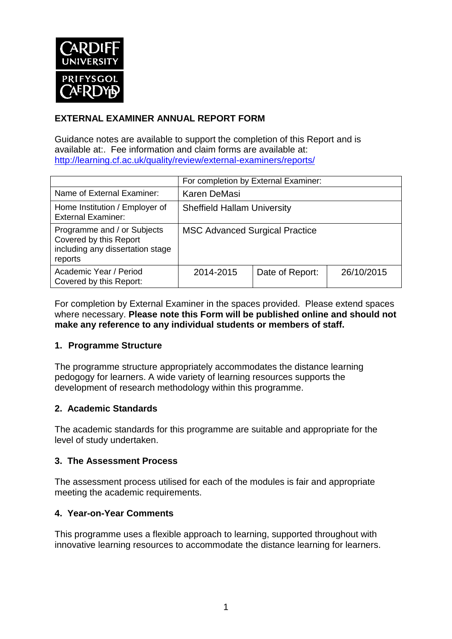

## **EXTERNAL EXAMINER ANNUAL REPORT FORM**

Guidance notes are available to support the completion of this Report and is available at:. Fee information and claim forms are available at: <http://learning.cf.ac.uk/quality/review/external-examiners/reports/>

|                                                                                                      | For completion by External Examiner:  |                 |            |  |  |
|------------------------------------------------------------------------------------------------------|---------------------------------------|-----------------|------------|--|--|
| Name of External Examiner:                                                                           | Karen DeMasi                          |                 |            |  |  |
| Home Institution / Employer of<br><b>External Examiner:</b>                                          | <b>Sheffield Hallam University</b>    |                 |            |  |  |
| Programme and / or Subjects<br>Covered by this Report<br>including any dissertation stage<br>reports | <b>MSC Advanced Surgical Practice</b> |                 |            |  |  |
| Academic Year / Period<br>Covered by this Report:                                                    | 2014-2015                             | Date of Report: | 26/10/2015 |  |  |

For completion by External Examiner in the spaces provided. Please extend spaces where necessary. **Please note this Form will be published online and should not make any reference to any individual students or members of staff.**

### **1. Programme Structure**

The programme structure appropriately accommodates the distance learning pedogogy for learners. A wide variety of learning resources supports the development of research methodology within this programme.

### **2. Academic Standards**

The academic standards for this programme are suitable and appropriate for the level of study undertaken.

### **3. The Assessment Process**

The assessment process utilised for each of the modules is fair and appropriate meeting the academic requirements.

### **4. Year-on-Year Comments**

This programme uses a flexible approach to learning, supported throughout with innovative learning resources to accommodate the distance learning for learners.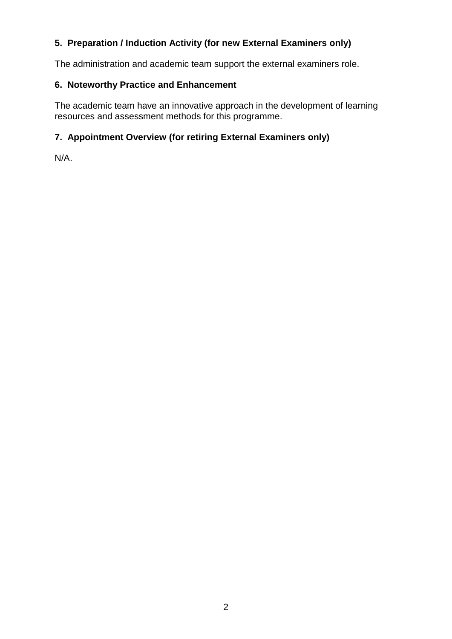# **5. Preparation / Induction Activity (for new External Examiners only)**

The administration and academic team support the external examiners role.

## **6. Noteworthy Practice and Enhancement**

The academic team have an innovative approach in the development of learning resources and assessment methods for this programme.

# **7. Appointment Overview (for retiring External Examiners only)**

N/A.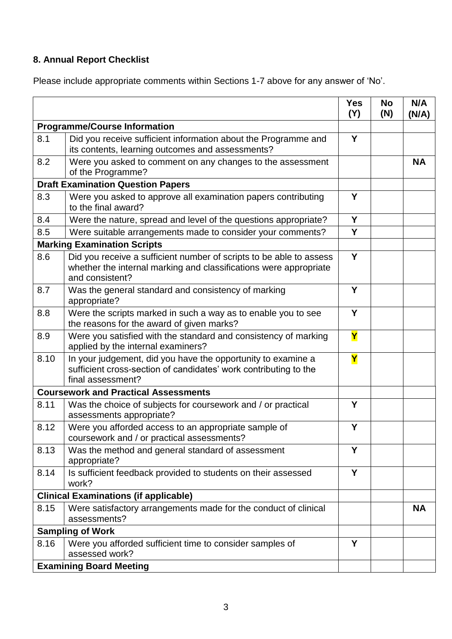# **8. Annual Report Checklist**

Please include appropriate comments within Sections 1-7 above for any answer of 'No'.

|                                          |                                                                                                                                                             | <b>Yes</b><br>(Y)       | <b>No</b><br>(N) | N/A<br>(N/A) |
|------------------------------------------|-------------------------------------------------------------------------------------------------------------------------------------------------------------|-------------------------|------------------|--------------|
| <b>Programme/Course Information</b>      |                                                                                                                                                             |                         |                  |              |
| 8.1                                      | Did you receive sufficient information about the Programme and<br>its contents, learning outcomes and assessments?                                          | Y                       |                  |              |
| 8.2                                      | Were you asked to comment on any changes to the assessment<br>of the Programme?                                                                             |                         |                  | <b>NA</b>    |
| <b>Draft Examination Question Papers</b> |                                                                                                                                                             |                         |                  |              |
| 8.3                                      | Were you asked to approve all examination papers contributing<br>to the final award?                                                                        | Y                       |                  |              |
| 8.4                                      | Were the nature, spread and level of the questions appropriate?                                                                                             | Y                       |                  |              |
| 8.5                                      | Were suitable arrangements made to consider your comments?                                                                                                  | Y                       |                  |              |
|                                          | <b>Marking Examination Scripts</b>                                                                                                                          |                         |                  |              |
| 8.6                                      | Did you receive a sufficient number of scripts to be able to assess<br>whether the internal marking and classifications were appropriate<br>and consistent? | Y                       |                  |              |
| 8.7                                      | Was the general standard and consistency of marking<br>appropriate?                                                                                         | Υ                       |                  |              |
| 8.8                                      | Were the scripts marked in such a way as to enable you to see<br>the reasons for the award of given marks?                                                  | Y                       |                  |              |
| 8.9                                      | Were you satisfied with the standard and consistency of marking<br>applied by the internal examiners?                                                       | $\overline{\mathsf{Y}}$ |                  |              |
| 8.10                                     | In your judgement, did you have the opportunity to examine a<br>sufficient cross-section of candidates' work contributing to the<br>final assessment?       | $\overline{\mathsf{Y}}$ |                  |              |
|                                          | <b>Coursework and Practical Assessments</b>                                                                                                                 |                         |                  |              |
| 8.11                                     | Was the choice of subjects for coursework and / or practical<br>assessments appropriate?                                                                    | Y                       |                  |              |
| 8.12                                     | Were you afforded access to an appropriate sample of<br>coursework and / or practical assessments?                                                          | Υ                       |                  |              |
| 8.13                                     | Was the method and general standard of assessment<br>appropriate?                                                                                           | Y                       |                  |              |
| 8.14                                     | Is sufficient feedback provided to students on their assessed<br>work?                                                                                      | Y                       |                  |              |
|                                          | <b>Clinical Examinations (if applicable)</b>                                                                                                                |                         |                  |              |
| 8.15                                     | Were satisfactory arrangements made for the conduct of clinical<br>assessments?                                                                             |                         |                  | <b>NA</b>    |
| <b>Sampling of Work</b>                  |                                                                                                                                                             |                         |                  |              |
| 8.16                                     | Were you afforded sufficient time to consider samples of<br>assessed work?                                                                                  | Y                       |                  |              |
| <b>Examining Board Meeting</b>           |                                                                                                                                                             |                         |                  |              |